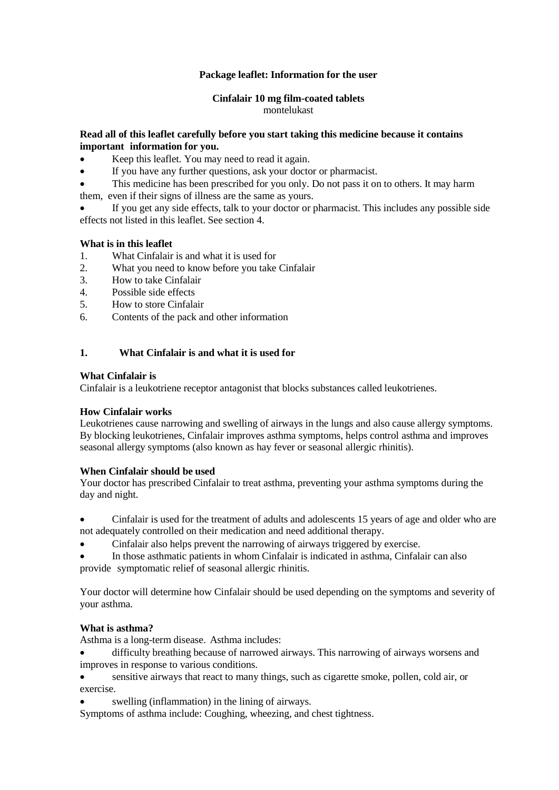## **Package leaflet: Information for the user**

## **Cinfalair 10 mg film-coated tablets**

montelukast

## **Read all of this leaflet carefully before you start taking this medicine because it contains important information for you.**

- Keep this leaflet. You may need to read it again.
- If you have any further questions, ask your doctor or pharmacist.
- This medicine has been prescribed for you only. Do not pass it on to others. It may harm
- them, even if their signs of illness are the same as yours.
- If you get any side effects, talk to your doctor or pharmacist. This includes any possible side effects not listed in this leaflet. See section 4.

### **What is in this leaflet**

- 1. What Cinfalair is and what it is used for
- 2. What you need to know before you take Cinfalair
- 3. How to take Cinfalair
- 4. Possible side effects<br>5. How to store Cinfala
- 5. How to store Cinfalair
- 6. Contents of the pack and other information

### **1. What Cinfalair is and what it is used for**

### **What Cinfalair is**

Cinfalair is a leukotriene receptor antagonist that blocks substances called leukotrienes.

### **How Cinfalair works**

Leukotrienes cause narrowing and swelling of airways in the lungs and also cause allergy symptoms. By blocking leukotrienes, Cinfalair improves asthma symptoms, helps control asthma and improves seasonal allergy symptoms (also known as hay fever or seasonal allergic rhinitis).

### **When Cinfalair should be used**

Your doctor has prescribed Cinfalair to treat asthma, preventing your asthma symptoms during the day and night.

 Cinfalair is used for the treatment of adults and adolescents 15 years of age and older who are not adequately controlled on their medication and need additional therapy.

Cinfalair also helps prevent the narrowing of airways triggered by exercise.

 In those asthmatic patients in whom Cinfalair is indicated in asthma, Cinfalair can also provide symptomatic relief of seasonal allergic rhinitis.

Your doctor will determine how Cinfalair should be used depending on the symptoms and severity of your asthma.

### **What is asthma?**

Asthma is a long-term disease. Asthma includes:

 difficulty breathing because of narrowed airways. This narrowing of airways worsens and improves in response to various conditions.

 sensitive airways that react to many things, such as cigarette smoke, pollen, cold air, or exercise.

swelling (inflammation) in the lining of airways.

Symptoms of asthma include: Coughing, wheezing, and chest tightness.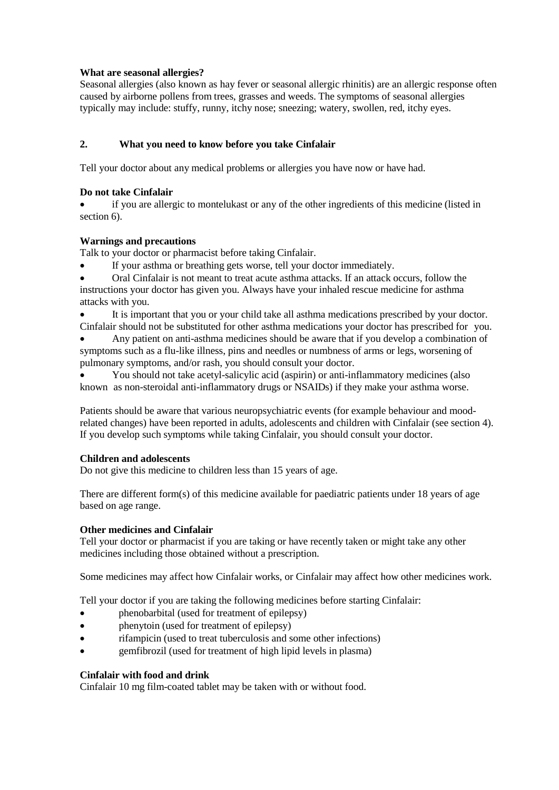## **What are seasonal allergies?**

Seasonal allergies (also known as hay fever or seasonal allergic rhinitis) are an allergic response often caused by airborne pollens from trees, grasses and weeds. The symptoms of seasonal allergies typically may include: stuffy, runny, itchy nose; sneezing; watery, swollen, red, itchy eyes.

## **2. What you need to know before you take Cinfalair**

Tell your doctor about any medical problems or allergies you have now or have had.

### **Do not take Cinfalair**

 if you are allergic to montelukast or any of the other ingredients of this medicine (listed in section 6).

### **Warnings and precautions**

Talk to your doctor or pharmacist before taking Cinfalair.

- If your asthma or breathing gets worse, tell your doctor immediately.
- Oral Cinfalair is not meant to treat acute asthma attacks. If an attack occurs, follow the instructions your doctor has given you. Always have your inhaled rescue medicine for asthma attacks with you.
- It is important that you or your child take all asthma medications prescribed by your doctor. Cinfalair should not be substituted for other asthma medications your doctor has prescribed for you.
- Any patient on anti-asthma medicines should be aware that if you develop a combination of symptoms such as a flu-like illness, pins and needles or numbness of arms or legs, worsening of pulmonary symptoms, and/or rash, you should consult your doctor.

 You should not take acetyl-salicylic acid (aspirin) or anti-inflammatory medicines (also known as non-steroidal anti-inflammatory drugs or NSAIDs) if they make your asthma worse.

Patients should be aware that various neuropsychiatric events (for example behaviour and moodrelated changes) have been reported in adults, adolescents and children with Cinfalair (see section 4). If you develop such symptoms while taking Cinfalair, you should consult your doctor.

### **Children and adolescents**

Do not give this medicine to children less than 15 years of age.

There are different form(s) of this medicine available for paediatric patients under 18 years of age based on age range.

### **Other medicines and Cinfalair**

Tell your doctor or pharmacist if you are taking or have recently taken or might take any other medicines including those obtained without a prescription.

Some medicines may affect how Cinfalair works, or Cinfalair may affect how other medicines work.

Tell your doctor if you are taking the following medicines before starting Cinfalair:

- phenobarbital (used for treatment of epilepsy)
- phenytoin (used for treatment of epilepsy)
- rifampicin (used to treat tuberculosis and some other infections)
- gemfibrozil (used for treatment of high lipid levels in plasma)

### **Cinfalair with food and drink**

Cinfalair 10 mg film-coated tablet may be taken with or without food.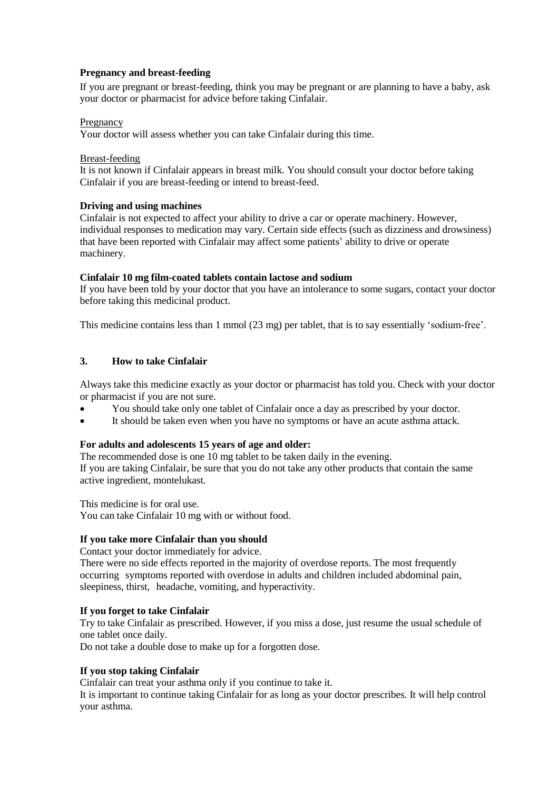### **Pregnancy and breast-feeding**

If you are pregnant or breast-feeding, think you may be pregnant or are planning to have a baby, ask your doctor or pharmacist for advice before taking Cinfalair.

### Pregnancy

Your doctor will assess whether you can take Cinfalair during this time.

#### Breast-feeding

It is not known if Cinfalair appears in breast milk. You should consult your doctor before taking Cinfalair if you are breast-feeding or intend to breast-feed.

### **Driving and using machines**

Cinfalair is not expected to affect your ability to drive a car or operate machinery. However, individual responses to medication may vary. Certain side effects (such as dizziness and drowsiness) that have been reported with Cinfalair may affect some patients' ability to drive or operate machinery.

### **Cinfalair 10 mg film-coated tablets contain lactose and sodium**

If you have been told by your doctor that you have an intolerance to some sugars, contact your doctor before taking this medicinal product.

This medicine contains less than 1 mmol (23 mg) per tablet, that is to say essentially 'sodium-free'.

## **3. How to take Cinfalair**

Always take this medicine exactly as your doctor or pharmacist has told you. Check with your doctor or pharmacist if you are not sure.

- You should take only one tablet of Cinfalair once a day as prescribed by your doctor.
- It should be taken even when you have no symptoms or have an acute asthma attack.

### **For adults and adolescents 15 years of age and older:**

The recommended dose is one 10 mg tablet to be taken daily in the evening.

If you are taking Cinfalair, be sure that you do not take any other products that contain the same active ingredient, montelukast.

This medicine is for oral use.

You can take Cinfalair 10 mg with or without food.

### **If you take more Cinfalair than you should**

Contact your doctor immediately for advice.

There were no side effects reported in the majority of overdose reports. The most frequently occurring symptoms reported with overdose in adults and children included abdominal pain, sleepiness, thirst, headache, vomiting, and hyperactivity.

### **If you forget to take Cinfalair**

Try to take Cinfalair as prescribed. However, if you miss a dose, just resume the usual schedule of one tablet once daily.

Do not take a double dose to make up for a forgotten dose.

### **If you stop taking Cinfalair**

Cinfalair can treat your asthma only if you continue to take it.

It is important to continue taking Cinfalair for as long as your doctor prescribes. It will help control your asthma.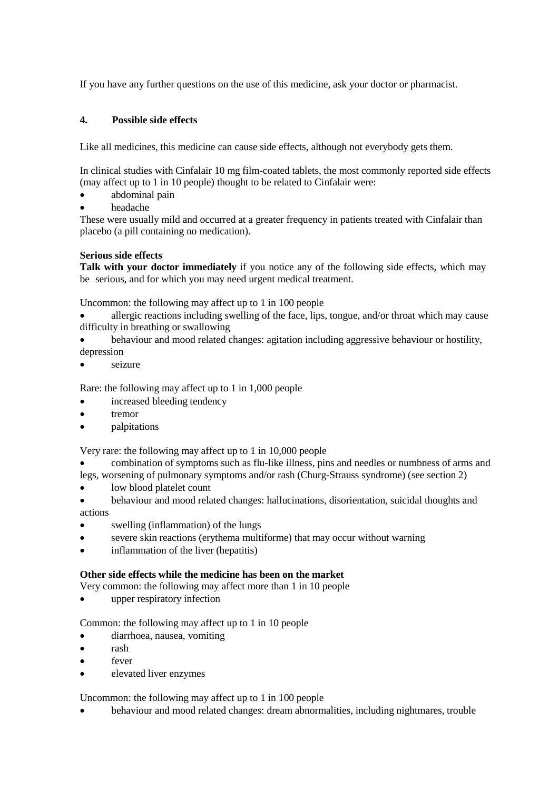If you have any further questions on the use of this medicine, ask your doctor or pharmacist.

# **4. Possible side effects**

Like all medicines, this medicine can cause side effects, although not everybody gets them.

In clinical studies with Cinfalair 10 mg film-coated tablets, the most commonly reported side effects (may affect up to 1 in 10 people) thought to be related to Cinfalair were:

- abdominal pain
- headache

These were usually mild and occurred at a greater frequency in patients treated with Cinfalair than placebo (a pill containing no medication).

## **Serious side effects**

**Talk with your doctor immediately** if you notice any of the following side effects, which may be serious, and for which you may need urgent medical treatment.

Uncommon: the following may affect up to 1 in 100 people

- allergic reactions including swelling of the face, lips, tongue, and/or throat which may cause difficulty in breathing or swallowing
- behaviour and mood related changes: agitation including aggressive behaviour or hostility, depression
- seizure

Rare: the following may affect up to 1 in 1,000 people

- increased bleeding tendency
- tremor
- palpitations

Very rare: the following may affect up to 1 in 10,000 people

- combination of symptoms such as flu-like illness, pins and needles or numbness of arms and legs, worsening of pulmonary symptoms and/or rash (Churg-Strauss syndrome) (see section 2)
- low blood platelet count
- behaviour and mood related changes: hallucinations, disorientation, suicidal thoughts and actions
- swelling (inflammation) of the lungs
- severe skin reactions (erythema multiforme) that may occur without warning
- inflammation of the liver (hepatitis)

## **Other side effects while the medicine has been on the market**

Very common: the following may affect more than 1 in 10 people

upper respiratory infection

Common: the following may affect up to 1 in 10 people

- diarrhoea, nausea, vomiting
- rash
- fever
- elevated liver enzymes

Uncommon: the following may affect up to 1 in 100 people

behaviour and mood related changes: dream abnormalities, including nightmares, trouble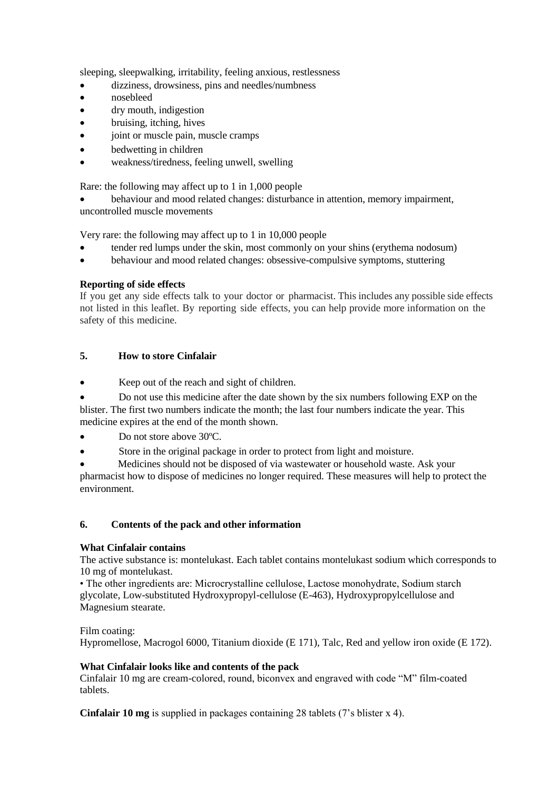sleeping, sleepwalking, irritability, feeling anxious, restlessness

- dizziness, drowsiness, pins and needles/numbness
- nosebleed
- dry mouth, indigestion
- bruising, itching, hives
- joint or muscle pain, muscle cramps
- bedwetting in children
- weakness/tiredness, feeling unwell, swelling

Rare: the following may affect up to 1 in 1,000 people

 behaviour and mood related changes: disturbance in attention, memory impairment, uncontrolled muscle movements

Very rare: the following may affect up to 1 in 10,000 people

- tender red lumps under the skin, most commonly on your shins (erythema nodosum)
- behaviour and mood related changes: obsessive-compulsive symptoms, stuttering

## **Reporting of side effects**

If you get any side effects talk to your doctor or pharmacist. This includes any possible side effects not listed in this leaflet. By reporting side effects, you can help provide more information on the safety of this medicine.

## **5. How to store Cinfalair**

Keep out of the reach and sight of children.

 Do not use this medicine after the date shown by the six numbers following EXP on the blister. The first two numbers indicate the month; the last four numbers indicate the year. This medicine expires at the end of the month shown.

- Do not store above 30ºC.
- Store in the original package in order to protect from light and moisture.

 Medicines should not be disposed of via wastewater or household waste. Ask your pharmacist how to dispose of medicines no longer required. These measures will help to protect the environment.

### **6. Contents of the pack and other information**

### **What Cinfalair contains**

The active substance is: montelukast. Each tablet contains montelukast sodium which corresponds to 10 mg of montelukast.

• The other ingredients are: Microcrystalline cellulose, Lactose monohydrate, Sodium starch glycolate, Low-substituted Hydroxypropyl-cellulose (E-463), Hydroxypropylcellulose and Magnesium stearate.

Film coating:

Hypromellose, Macrogol 6000, Titanium dioxide (E 171), Talc, Red and yellow iron oxide (E 172).

## **What Cinfalair looks like and contents of the pack**

Cinfalair 10 mg are cream-colored, round, biconvex and engraved with code "M" film-coated tablets.

**Cinfalair 10 mg** is supplied in packages containing 28 tablets (7's blister x 4).